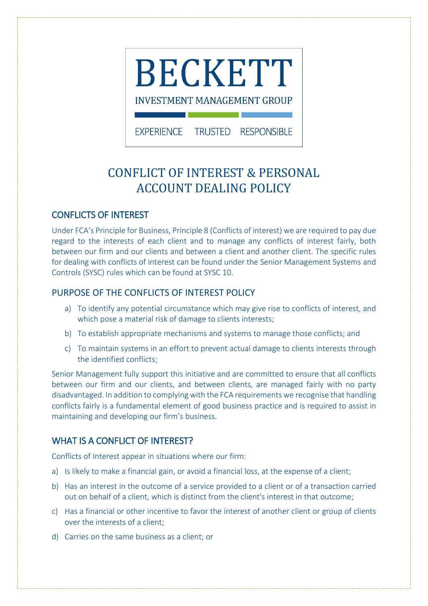

EXPERIENCE TRUSTED RESPONSIBLE

# CONFLICT OF INTEREST & PERSONAL ACCOUNT DEALING POLICY

## CONFLICTS OF INTEREST

Under FCA's Principle for Business, Principle 8 (Conflicts of interest) we are required to pay due regard to the interests of each client and to manage any conflicts of interest fairly, both between our firm and our clients and between a client and another client. The specific rules for dealing with conflicts of interest can be found under the Senior Management Systems and Controls (SYSC) rules which can be found at SYSC 10.

## PURPOSE OF THE CONFLICTS OF INTEREST POLICY

- a) To identify any potential circumstance which may give rise to conflicts of interest, and which pose a material risk of damage to clients interests;
- b) To establish appropriate mechanisms and systems to manage those conflicts; and
- c) To maintain systems in an effort to prevent actual damage to clients interests through the identified conflicts;

Senior Management fully support this initiative and are committed to ensure that all conflicts between our firm and our clients, and between clients, are managed fairly with no party disadvantaged. In addition to complying with the FCA requirements we recognise that handling conflicts fairly is a fundamental element of good business practice and is required to assist in maintaining and developing our firm's business.

# WHAT IS A CONFLICT OF INTEREST?

Conflicts of Interest appear in situations where our firm:

- a) Is likely to make a financial gain, or avoid a financial loss, at the expense of a client;
- b) Has an interest in the outcome of a service provided to a client or of a transaction carried out on behalf of a client, which is distinct from the client's interest in that outcome;
- c) Has a financial or other incentive to favor the interest of another client or group of clients over the interests of a client;
- d) Carries on the same business as a client; or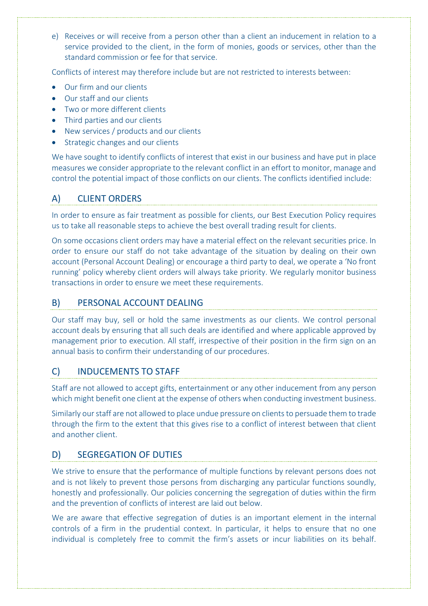e) Receives or will receive from a person other than a client an inducement in relation to a service provided to the client, in the form of monies, goods or services, other than the standard commission or fee for that service.

Conflicts of interest may therefore include but are not restricted to interests between:

- Our firm and our clients
- Our staff and our clients
- Two or more different clients
- Third parties and our clients
- New services / products and our clients
- Strategic changes and our clients

We have sought to identify conflicts of interest that exist in our business and have put in place measures we consider appropriate to the relevant conflict in an effort to monitor, manage and control the potential impact of those conflicts on our clients. The conflicts identified include:

# A) CLIENT ORDERS

In order to ensure as fair treatment as possible for clients, our Best Execution Policy requires us to take all reasonable steps to achieve the best overall trading result for clients.

On some occasions client orders may have a material effect on the relevant securities price. In order to ensure our staff do not take advantage of the situation by dealing on their own account (Personal Account Dealing) or encourage a third party to deal, we operate a 'No front running' policy whereby client orders will always take priority. We regularly monitor business transactions in order to ensure we meet these requirements.

## B) PERSONAL ACCOUNT DEALING

Our staff may buy, sell or hold the same investments as our clients. We control personal account deals by ensuring that all such deals are identified and where applicable approved by management prior to execution. All staff, irrespective of their position in the firm sign on an annual basis to confirm their understanding of our procedures.

# C) INDUCEMENTS TO STAFF

Staff are not allowed to accept gifts, entertainment or any other inducement from any person which might benefit one client at the expense of others when conducting investment business.

Similarly our staff are not allowed to place undue pressure on clients to persuade them to trade through the firm to the extent that this gives rise to a conflict of interest between that client and another client.

# D) SEGREGATION OF DUTIES

We strive to ensure that the performance of multiple functions by relevant persons does not and is not likely to prevent those persons from discharging any particular functions soundly, honestly and professionally. Our policies concerning the segregation of duties within the firm and the prevention of conflicts of interest are laid out below.

We are aware that effective segregation of duties is an important element in the internal controls of a firm in the prudential context. In particular, it helps to ensure that no one individual is completely free to commit the firm's assets or incur liabilities on its behalf.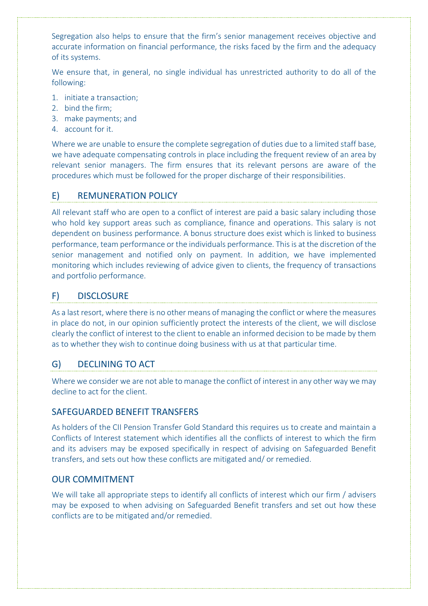Segregation also helps to ensure that the firm's senior management receives objective and accurate information on financial performance, the risks faced by the firm and the adequacy of its systems.

We ensure that, in general, no single individual has unrestricted authority to do all of the following:

- 1. initiate a transaction;
- 2. bind the firm;
- 3. make payments; and
- 4. account for it.

Where we are unable to ensure the complete segregation of duties due to a limited staff base, we have adequate compensating controls in place including the frequent review of an area by relevant senior managers. The firm ensures that its relevant persons are aware of the procedures which must be followed for the proper discharge of their responsibilities.

## E) REMUNERATION POLICY

All relevant staff who are open to a conflict of interest are paid a basic salary including those who hold key support areas such as compliance, finance and operations. This salary is not dependent on business performance. A bonus structure does exist which is linked to business performance, team performance or the individuals performance. This is at the discretion of the senior management and notified only on payment. In addition, we have implemented monitoring which includes reviewing of advice given to clients, the frequency of transactions and portfolio performance.

#### F) DISCLOSURE

As a last resort, where there is no other means of managing the conflict or where the measures in place do not, in our opinion sufficiently protect the interests of the client, we will disclose clearly the conflict of interest to the client to enable an informed decision to be made by them as to whether they wish to continue doing business with us at that particular time.

#### G) DECLINING TO ACT

Where we consider we are not able to manage the conflict of interest in any other way we may decline to act for the client.

#### SAFEGUARDED BENEFIT TRANSFERS

As holders of the CII Pension Transfer Gold Standard this requires us to create and maintain a Conflicts of Interest statement which identifies all the conflicts of interest to which the firm and its advisers may be exposed specifically in respect of advising on Safeguarded Benefit transfers, and sets out how these conflicts are mitigated and/ or remedied.

#### OUR COMMITMENT

We will take all appropriate steps to identify all conflicts of interest which our firm / advisers may be exposed to when advising on Safeguarded Benefit transfers and set out how these conflicts are to be mitigated and/or remedied.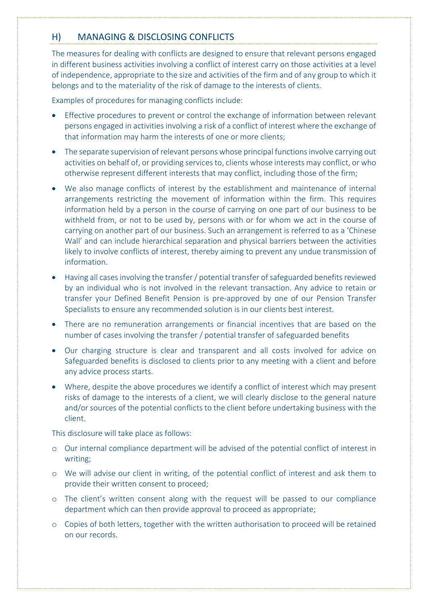## H) MANAGING & DISCLOSING CONFLICTS

The measures for dealing with conflicts are designed to ensure that relevant persons engaged in different business activities involving a conflict of interest carry on those activities at a level of independence, appropriate to the size and activities of the firm and of any group to which it belongs and to the materiality of the risk of damage to the interests of clients.

Examples of procedures for managing conflicts include:

- Effective procedures to prevent or control the exchange of information between relevant persons engaged in activities involving a risk of a conflict of interest where the exchange of that information may harm the interests of one or more clients;
- The separate supervision of relevant persons whose principal functions involve carrying out activities on behalf of, or providing services to, clients whose interests may conflict, or who otherwise represent different interests that may conflict, including those of the firm;
- We also manage conflicts of interest by the establishment and maintenance of internal arrangements restricting the movement of information within the firm. This requires information held by a person in the course of carrying on one part of our business to be withheld from, or not to be used by, persons with or for whom we act in the course of carrying on another part of our business. Such an arrangement is referred to as a 'Chinese Wall' and can include hierarchical separation and physical barriers between the activities likely to involve conflicts of interest, thereby aiming to prevent any undue transmission of information.
- Having all cases involving the transfer / potential transfer of safeguarded benefits reviewed by an individual who is not involved in the relevant transaction. Any advice to retain or transfer your Defined Benefit Pension is pre-approved by one of our Pension Transfer Specialists to ensure any recommended solution is in our clients best interest.
- There are no remuneration arrangements or financial incentives that are based on the number of cases involving the transfer / potential transfer of safeguarded benefits
- Our charging structure is clear and transparent and all costs involved for advice on Safeguarded benefits is disclosed to clients prior to any meeting with a client and before any advice process starts.
- Where, despite the above procedures we identify a conflict of interest which may present risks of damage to the interests of a client, we will clearly disclose to the general nature and/or sources of the potential conflicts to the client before undertaking business with the client.

This disclosure will take place as follows:

- o Our internal compliance department will be advised of the potential conflict of interest in writing;
- o We will advise our client in writing, of the potential conflict of interest and ask them to provide their written consent to proceed;
- o The client's written consent along with the request will be passed to our compliance department which can then provide approval to proceed as appropriate;
- o Copies of both letters, together with the written authorisation to proceed will be retained on our records.